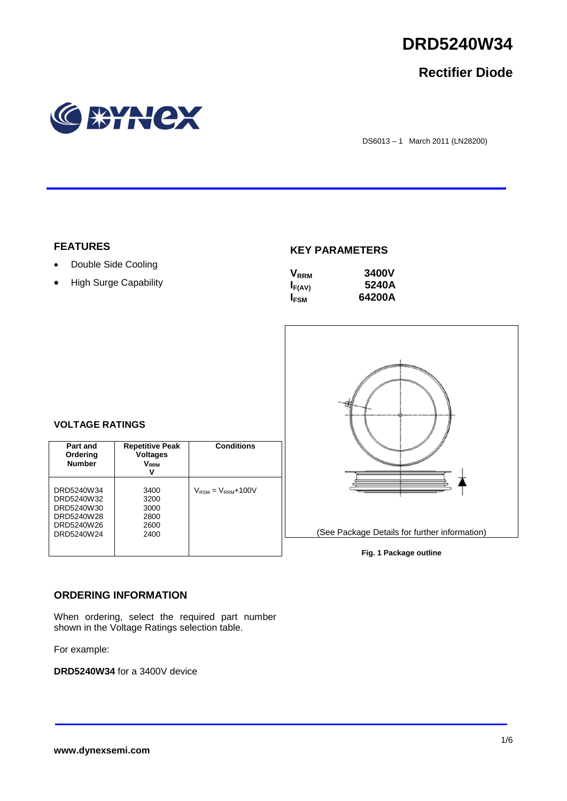

## **Rectifier Diode**



DS6013 – 1 March 2011 (LN28200)

## **FEATURES**

- Double Side Cooling
- High Surge Capability

## **KEY PARAMETERS**

| $\mathsf{V}_{\scriptscriptstyle\sf RRM}$ | <b>3400V</b> |
|------------------------------------------|--------------|
| $I_{F(AV)}$                              | 5240A        |
| <b>IFSM</b>                              | 64200A       |



# **VOLTAGE RATINGS**

| Part and<br>Ordering<br><b>Number</b>                                            | <b>Repetitive Peak</b><br><b>Voltages</b><br>$\mathsf{V}_\mathsf{RRM}$ | <b>Conditions</b>                        |
|----------------------------------------------------------------------------------|------------------------------------------------------------------------|------------------------------------------|
| DRD5240W34<br>DRD5240W32<br>DRD5240W30<br>DRD5240W28<br>DRD5240W26<br>DRD5240W24 | 3400<br>3200<br>3000<br>2800<br>2600<br>2400                           | $V_{\text{RSM}} = V_{\text{RRM}} + 100V$ |

## **ORDERING INFORMATION**

When ordering, select the required part number shown in the Voltage Ratings selection table.

For example:

**DRD5240W34** for a 3400V device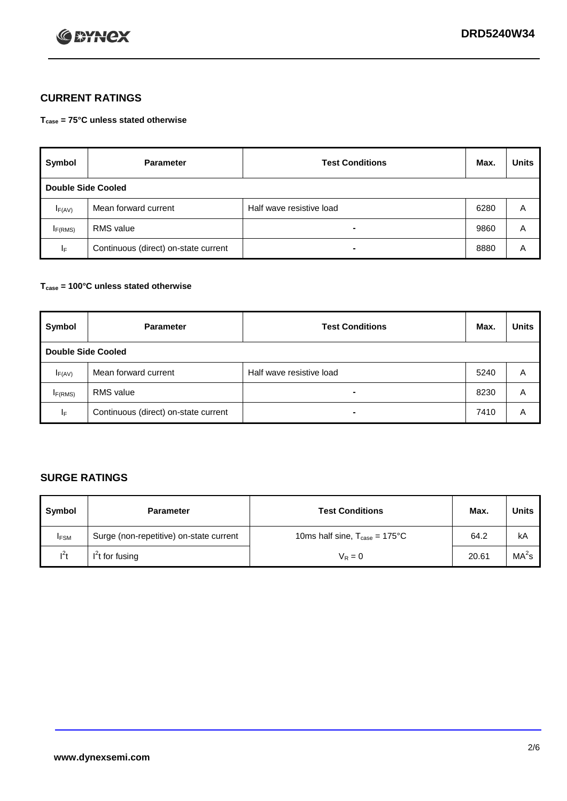

## **CURRENT RATINGS**

**Tcase = 75°C unless stated otherwise**

| Symbol              | <b>Parameter</b>                     | <b>Test Conditions</b>   | Max. | <b>Units</b> |  |  |
|---------------------|--------------------------------------|--------------------------|------|--------------|--|--|
|                     | Double Side Cooled                   |                          |      |              |  |  |
| $I_{F(AV)}$         | Mean forward current                 | Half wave resistive load | 6280 | A            |  |  |
| I <sub>F(RMS)</sub> | <b>RMS</b> value                     | -                        | 9860 | Α            |  |  |
| IF.                 | Continuous (direct) on-state current | -                        | 8880 | Α            |  |  |

### **Tcase = 100°C unless stated otherwise**

| Symbol              | <b>Parameter</b>                     | <b>Test Conditions</b>   | Max. | <b>Units</b> |  |  |
|---------------------|--------------------------------------|--------------------------|------|--------------|--|--|
|                     | <b>Double Side Cooled</b>            |                          |      |              |  |  |
| $I_{F(AV)}$         | Mean forward current                 | Half wave resistive load | 5240 | Α            |  |  |
| I <sub>F(RMS)</sub> | <b>RMS</b> value                     | $\overline{\phantom{0}}$ | 8230 | A            |  |  |
| IF                  | Continuous (direct) on-state current | ۰                        | 7410 | A            |  |  |

## **SURGE RATINGS**

| Symbol      | <b>Parameter</b>                        | <b>Test Conditions</b>                            | Max.  | <b>Units</b>      |
|-------------|-----------------------------------------|---------------------------------------------------|-------|-------------------|
| <b>IFSM</b> | Surge (non-repetitive) on-state current | 10ms half sine, $T_{\text{case}} = 175^{\circ}$ C | 64.2  | kA                |
| $l^2t$      | I <sup>'</sup> t for fusing             | $V_R = 0$                                         | 20.61 | MA <sup>2</sup> s |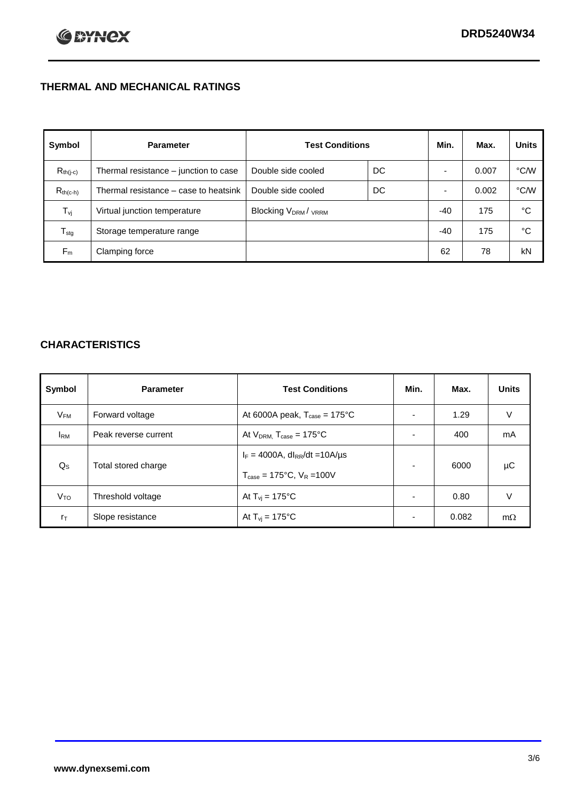## **THERMAL AND MECHANICAL RATINGS**

| Symbol           | <b>Parameter</b>                      | <b>Test Conditions</b>                      |    | Min.  | Max.  | <b>Units</b> |
|------------------|---------------------------------------|---------------------------------------------|----|-------|-------|--------------|
| $R_{th(j-c)}$    | Thermal resistance – junction to case | Double side cooled                          | DC |       | 0.007 | °C/W         |
| $R_{th(c-h)}$    | Thermal resistance – case to heatsink | Double side cooled                          | DC |       | 0.002 | °C/W         |
| $T_{\rm vj}$     | Virtual junction temperature          | Blocking V <sub>DRM</sub> / <sub>VRRM</sub> |    | $-40$ | 175   | °C           |
| $T_{\text{stg}}$ | Storage temperature range             |                                             |    | $-40$ | 175   | °C           |
| $F_m$            | Clamping force                        |                                             |    | 62    | 78    | kN           |

## **CHARACTERISTICS**

| Symbol                   | <b>Parameter</b>     | <b>Test Conditions</b>                          | Min.           | Max.  | <b>Units</b> |
|--------------------------|----------------------|-------------------------------------------------|----------------|-------|--------------|
| $\mathsf{V}_\mathsf{FM}$ | Forward voltage      | At 6000A peak, $T_{\text{case}} = 175^{\circ}C$ |                | 1.29  | V            |
| <b>IRM</b>               | Peak reverse current | At $V_{DRM}$ , $T_{case} = 175^{\circ}C$        | ۰              | 400   | mA           |
| $Q_{\rm S}$              | Total stored charge  | $I_F = 4000A$ , dl <sub>RR</sub> /dt = 10A/us   | $\blacksquare$ | 6000  | μC           |
|                          |                      | $T_{\text{case}} = 175^{\circ}C$ , $V_R = 100V$ |                |       |              |
| V <sub>TO</sub>          | Threshold voltage    | At $T_{vi} = 175^{\circ}C$                      | $\blacksquare$ | 0.80  | V            |
| $r_{\text{T}}$           | Slope resistance     | At $T_{vi} = 175^{\circ}C$                      | ۰              | 0.082 | $m\Omega$    |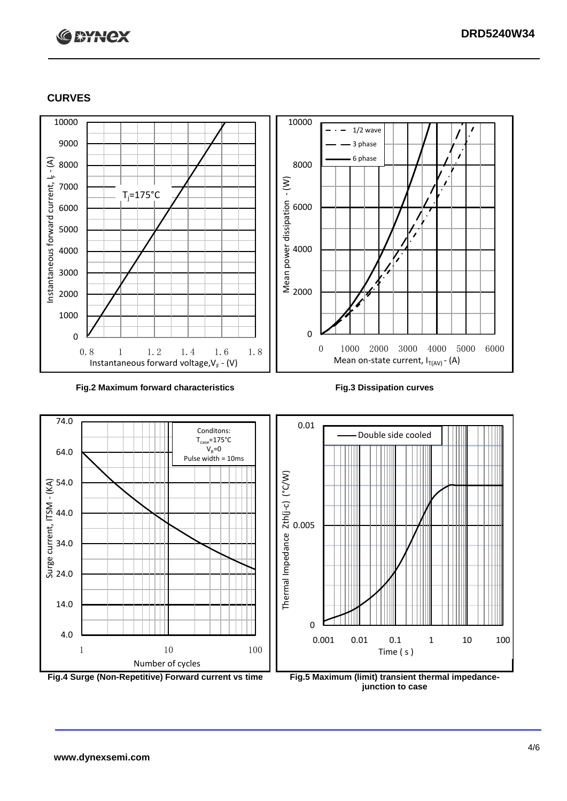## **C BYNCX**

## **CURVES**



### **Fig.2 Maximum forward characteristics Fig.3 Dissipation curves**



**junction to case**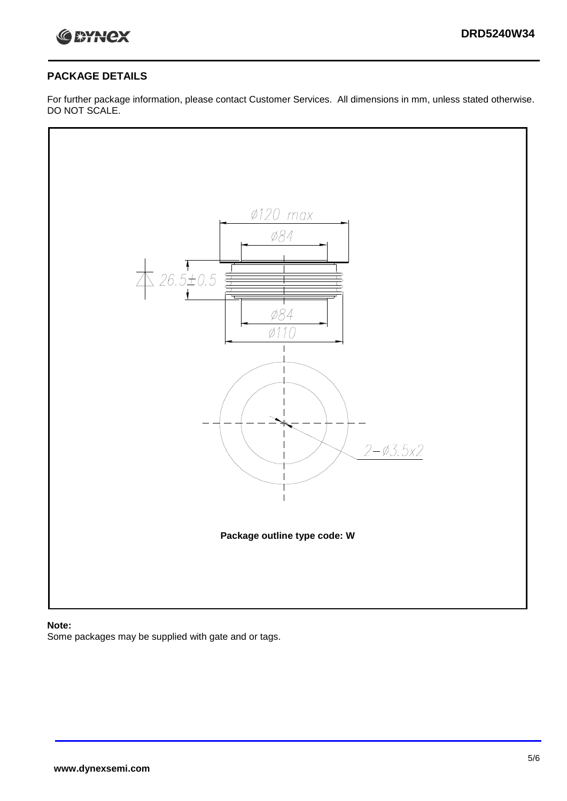

## **PACKAGE DETAILS**

For further package information, please contact Customer Services. All dimensions in mm, unless stated otherwise. DO NOT SCALE.



## **Note:**

Some packages may be supplied with gate and or tags.